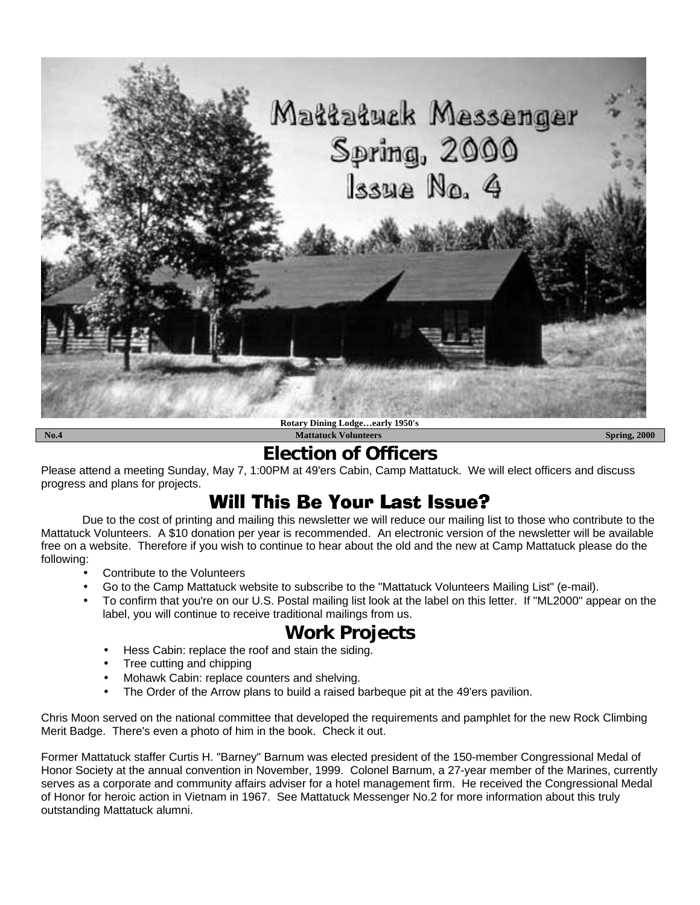

# **Election of Officers**

Please attend a meeting Sunday, May 7, 1:00PM at 49'ers Cabin, Camp Mattatuck. We will elect officers and discuss progress and plans for projects.

# Will This Be Your Last Issue?

Due to the cost of printing and mailing this newsletter we will reduce our mailing list to those who contribute to the Mattatuck Volunteers. A \$10 donation per year is recommended. An electronic version of the newsletter will be available free on a website. Therefore if you wish to continue to hear about the old and the new at Camp Mattatuck please do the following:

- Contribute to the Volunteers
- Go to the Camp Mattatuck website to subscribe to the "Mattatuck Volunteers Mailing List" (e-mail).
- To confirm that you're on our U.S. Postal mailing list look at the label on this letter. If "ML2000" appear on the label, you will continue to receive traditional mailings from us.

# **Work Projects**

- Hess Cabin: replace the roof and stain the siding.
- Tree cutting and chipping
- Mohawk Cabin: replace counters and shelving.
- The Order of the Arrow plans to build a raised barbeque pit at the 49'ers pavilion.

Chris Moon served on the national committee that developed the requirements and pamphlet for the new Rock Climbing Merit Badge. There's even a photo of him in the book. Check it out.

Former Mattatuck staffer Curtis H. "Barney" Barnum was elected president of the 150-member Congressional Medal of Honor Society at the annual convention in November, 1999. Colonel Barnum, a 27-year member of the Marines, currently serves as a corporate and community affairs adviser for a hotel management firm. He received the Congressional Medal of Honor for heroic action in Vietnam in 1967. See Mattatuck Messenger No.2 for more information about this truly outstanding Mattatuck alumni.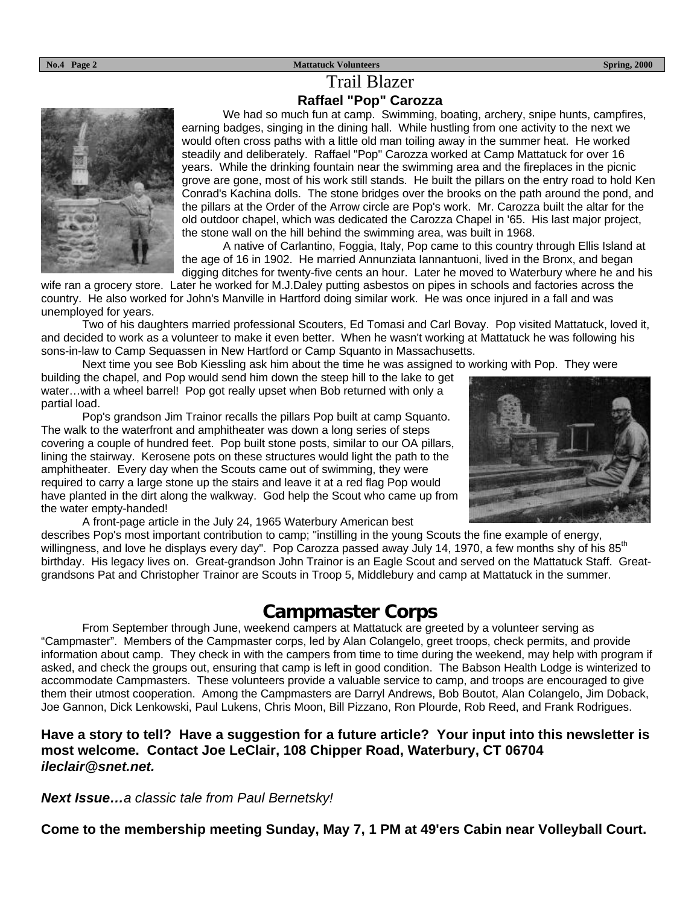#### **No.4 Page 2** Spring, 2000

## Trail Blazer **Raffael "Pop" Carozza**



We had so much fun at camp. Swimming, boating, archery, snipe hunts, campfires, earning badges, singing in the dining hall. While hustling from one activity to the next we would often cross paths with a little old man toiling away in the summer heat. He worked steadily and deliberately. Raffael "Pop" Carozza worked at Camp Mattatuck for over 16 years. While the drinking fountain near the swimming area and the fireplaces in the picnic grove are gone, most of his work still stands. He built the pillars on the entry road to hold Ken Conrad's Kachina dolls. The stone bridges over the brooks on the path around the pond, and the pillars at the Order of the Arrow circle are Pop's work. Mr. Carozza built the altar for the old outdoor chapel, which was dedicated the Carozza Chapel in '65. His last major project, the stone wall on the hill behind the swimming area, was built in 1968.

A native of Carlantino, Foggia, Italy, Pop came to this country through Ellis Island at the age of 16 in 1902. He married Annunziata Iannantuoni, lived in the Bronx, and began digging ditches for twenty-five cents an hour. Later he moved to Waterbury where he and his

wife ran a grocery store. Later he worked for M.J.Daley putting asbestos on pipes in schools and factories across the country. He also worked for John's Manville in Hartford doing similar work. He was once injured in a fall and was unemployed for years.

Two of his daughters married professional Scouters, Ed Tomasi and Carl Bovay. Pop visited Mattatuck, loved it, and decided to work as a volunteer to make it even better. When he wasn't working at Mattatuck he was following his sons-in-law to Camp Sequassen in New Hartford or Camp Squanto in Massachusetts.

Next time you see Bob Kiessling ask him about the time he was assigned to working with Pop. They were

building the chapel, and Pop would send him down the steep hill to the lake to get water...with a wheel barrel! Pop got really upset when Bob returned with only a partial load.

Pop's grandson Jim Trainor recalls the pillars Pop built at camp Squanto. The walk to the waterfront and amphitheater was down a long series of steps covering a couple of hundred feet. Pop built stone posts, similar to our OA pillars, lining the stairway. Kerosene pots on these structures would light the path to the amphitheater. Every day when the Scouts came out of swimming, they were required to carry a large stone up the stairs and leave it at a red flag Pop would have planted in the dirt along the walkway. God help the Scout who came up from the water empty-handed!



A front-page article in the July 24, 1965 Waterbury American best describes Pop's most important contribution to camp; "instilling in the young Scouts the fine example of energy, willingness, and love he displays every day". Pop Carozza passed away July 14, 1970, a few months shy of his 85<sup>th</sup> birthday. His legacy lives on. Great-grandson John Trainor is an Eagle Scout and served on the Mattatuck Staff. Greatgrandsons Pat and Christopher Trainor are Scouts in Troop 5, Middlebury and camp at Mattatuck in the summer.

## **Campmaster Corps**

From September through June, weekend campers at Mattatuck are greeted by a volunteer serving as "Campmaster". Members of the Campmaster corps, led by Alan Colangelo, greet troops, check permits, and provide information about camp. They check in with the campers from time to time during the weekend, may help with program if asked, and check the groups out, ensuring that camp is left in good condition. The Babson Health Lodge is winterized to accommodate Campmasters. These volunteers provide a valuable service to camp, and troops are encouraged to give them their utmost cooperation. Among the Campmasters are Darryl Andrews, Bob Boutot, Alan Colangelo, Jim Doback, Joe Gannon, Dick Lenkowski, Paul Lukens, Chris Moon, Bill Pizzano, Ron Plourde, Rob Reed, and Frank Rodrigues.

### **Have a story to tell? Have a suggestion for a future article? Your input into this newsletter is most welcome. Contact Joe LeClair, 108 Chipper Road, Waterbury, CT 06704** *ileclair@snet.net.*

*Next Issue…a classic tale from Paul Bernetsky!*

**Come to the membership meeting Sunday, May 7, 1 PM at 49'ers Cabin near Volleyball Court.**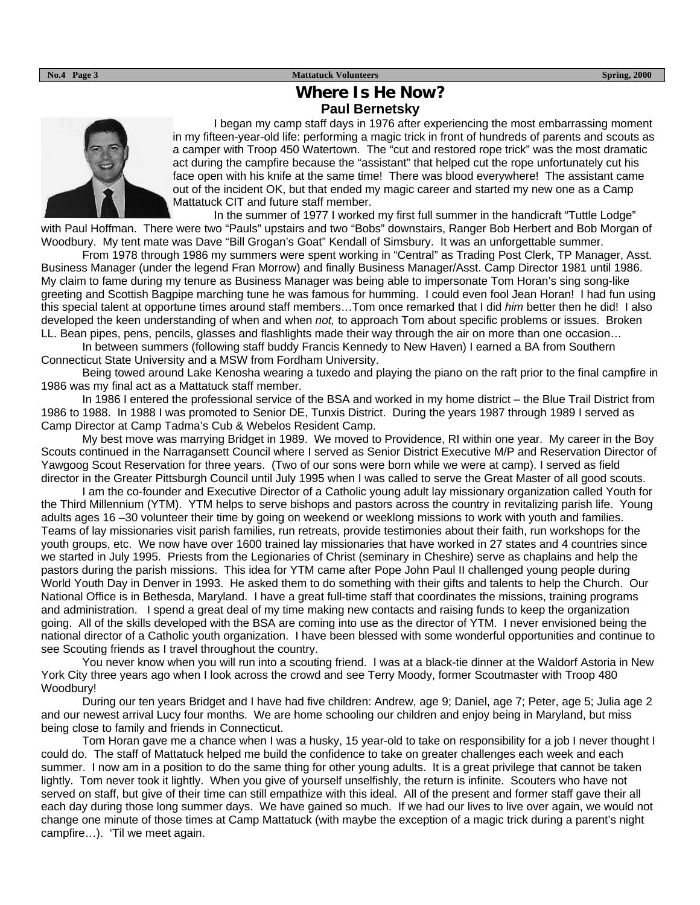#### **No.4 Page 3** Spring, 2000

## **Where Is He Now? Paul Bernetsky**



I began my camp staff days in 1976 after experiencing the most embarrassing moment in my fifteen-year-old life: performing a magic trick in front of hundreds of parents and scouts as a camper with Troop 450 Watertown. The "cut and restored rope trick" was the most dramatic act during the campfire because the "assistant" that helped cut the rope unfortunately cut his face open with his knife at the same time! There was blood everywhere! The assistant came out of the incident OK, but that ended my magic career and started my new one as a Camp Mattatuck CIT and future staff member.

In the summer of 1977 I worked my first full summer in the handicraft "Tuttle Lodge" with Paul Hoffman. There were two "Pauls" upstairs and two "Bobs" downstairs, Ranger Bob Herbert and Bob Morgan of Woodbury. My tent mate was Dave "Bill Grogan's Goat" Kendall of Simsbury. It was an unforgettable summer.

From 1978 through 1986 my summers were spent working in "Central" as Trading Post Clerk, TP Manager, Asst. Business Manager (under the legend Fran Morrow) and finally Business Manager/Asst. Camp Director 1981 until 1986. My claim to fame during my tenure as Business Manager was being able to impersonate Tom Horan's sing song-like greeting and Scottish Bagpipe marching tune he was famous for humming. I could even fool Jean Horan! I had fun using this special talent at opportune times around staff members…Tom once remarked that I did *him* better then he did! I also developed the keen understanding of when and when *not,* to approach Tom about specific problems or issues. Broken LL. Bean pipes, pens, pencils, glasses and flashlights made their way through the air on more than one occasion…

In between summers (following staff buddy Francis Kennedy to New Haven) I earned a BA from Southern Connecticut State University and a MSW from Fordham University.

Being towed around Lake Kenosha wearing a tuxedo and playing the piano on the raft prior to the final campfire in 1986 was my final act as a Mattatuck staff member.

In 1986 I entered the professional service of the BSA and worked in my home district – the Blue Trail District from 1986 to 1988. In 1988 I was promoted to Senior DE, Tunxis District. During the years 1987 through 1989 I served as Camp Director at Camp Tadma's Cub & Webelos Resident Camp.

My best move was marrying Bridget in 1989. We moved to Providence, RI within one year. My career in the Boy Scouts continued in the Narragansett Council where I served as Senior District Executive M/P and Reservation Director of Yawgoog Scout Reservation for three years. (Two of our sons were born while we were at camp). I served as field director in the Greater Pittsburgh Council until July 1995 when I was called to serve the Great Master of all good scouts.

I am the co-founder and Executive Director of a Catholic young adult lay missionary organization called Youth for the Third Millennium (YTM). YTM helps to serve bishops and pastors across the country in revitalizing parish life. Young adults ages 16 –30 volunteer their time by going on weekend or weeklong missions to work with youth and families. Teams of lay missionaries visit parish families, run retreats, provide testimonies about their faith, run workshops for the youth groups, etc. We now have over 1600 trained lay missionaries that have worked in 27 states and 4 countries since we started in July 1995. Priests from the Legionaries of Christ (seminary in Cheshire) serve as chaplains and help the pastors during the parish missions. This idea for YTM came after Pope John Paul II challenged young people during World Youth Day in Denver in 1993. He asked them to do something with their gifts and talents to help the Church. Our National Office is in Bethesda, Maryland. I have a great full-time staff that coordinates the missions, training programs and administration. I spend a great deal of my time making new contacts and raising funds to keep the organization going. All of the skills developed with the BSA are coming into use as the director of YTM. I never envisioned being the national director of a Catholic youth organization. I have been blessed with some wonderful opportunities and continue to see Scouting friends as I travel throughout the country.

You never know when you will run into a scouting friend. I was at a black-tie dinner at the Waldorf Astoria in New York City three years ago when I look across the crowd and see Terry Moody, former Scoutmaster with Troop 480 Woodbury!

During our ten years Bridget and I have had five children: Andrew, age 9; Daniel, age 7; Peter, age 5; Julia age 2 and our newest arrival Lucy four months. We are home schooling our children and enjoy being in Maryland, but miss being close to family and friends in Connecticut.

Tom Horan gave me a chance when I was a husky, 15 year-old to take on responsibility for a job I never thought I could do. The staff of Mattatuck helped me build the confidence to take on greater challenges each week and each summer. I now am in a position to do the same thing for other young adults. It is a great privilege that cannot be taken lightly. Tom never took it lightly. When you give of yourself unselfishly, the return is infinite. Scouters who have not served on staff, but give of their time can still empathize with this ideal. All of the present and former staff gave their all each day during those long summer days. We have gained so much. If we had our lives to live over again, we would not change one minute of those times at Camp Mattatuck (with maybe the exception of a magic trick during a parent's night campfire…). 'Til we meet again.